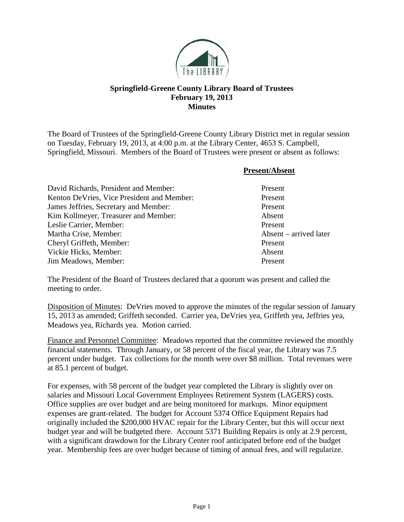

## **Springfield-Greene County Library Board of Trustees February 19, 2013 Minutes**

The Board of Trustees of the Springfield-Greene County Library District met in regular session on Tuesday, February 19, 2013, at 4:00 p.m. at the Library Center, 4653 S. Campbell, Springfield, Missouri. Members of the Board of Trustees were present or absent as follows:

**Present/Absent**

| 1 I COUNTINOUNT        |
|------------------------|
| Present                |
| Present                |
| Present                |
| Absent                 |
| Present                |
| Absent – arrived later |
| Present                |
| Absent                 |
| Present                |
|                        |

The President of the Board of Trustees declared that a quorum was present and called the meeting to order.

Disposition of Minutes: DeVries moved to approve the minutes of the regular session of January 15, 2013 as amended; Griffeth seconded. Carrier yea, DeVries yea, Griffeth yea, Jeffries yea, Meadows yea, Richards yea. Motion carried.

Finance and Personnel Committee: Meadows reported that the committee reviewed the monthly financial statements. Through January, or 58 percent of the fiscal year, the Library was 7.5 percent under budget. Tax collections for the month were over \$8 million. Total revenues were at 85.1 percent of budget.

For expenses, with 58 percent of the budget year completed the Library is slightly over on salaries and Missouri Local Government Employees Retirement System (LAGERS) costs. Office supplies are over budget and are being monitored for markups. Minor equipment expenses are grant-related. The budget for Account 5374 Office Equipment Repairs had originally included the \$200,000 HVAC repair for the Library Center, but this will occur next budget year and will be budgeted there. Account 5371 Building Repairs is only at 2.9 percent, with a significant drawdown for the Library Center roof anticipated before end of the budget year. Membership fees are over budget because of timing of annual fees, and will regularize.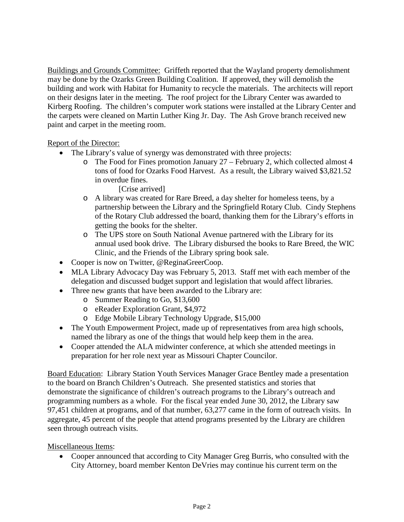Buildings and Grounds Committee: Griffeth reported that the Wayland property demolishment may be done by the Ozarks Green Building Coalition. If approved, they will demolish the building and work with Habitat for Humanity to recycle the materials. The architects will report on their designs later in the meeting. The roof project for the Library Center was awarded to Kirberg Roofing. The children's computer work stations were installed at the Library Center and the carpets were cleaned on Martin Luther King Jr. Day. The Ash Grove branch received new paint and carpet in the meeting room.

Report of the Director:

- The Library's value of synergy was demonstrated with three projects:
	- o The Food for Fines promotion January 27 February 2, which collected almost 4 tons of food for Ozarks Food Harvest. As a result, the Library waived \$3,821.52 in overdue fines.

[Crise arrived]

- o A library was created for Rare Breed, a day shelter for homeless teens, by a partnership between the Library and the Springfield Rotary Club. Cindy Stephens of the Rotary Club addressed the board, thanking them for the Library's efforts in getting the books for the shelter.
- o The UPS store on South National Avenue partnered with the Library for its annual used book drive. The Library disbursed the books to Rare Breed, the WIC Clinic, and the Friends of the Library spring book sale.
- Cooper is now on Twitter, @ReginaGreerCoop.
- MLA Library Advocacy Day was February 5, 2013. Staff met with each member of the delegation and discussed budget support and legislation that would affect libraries.
- Three new grants that have been awarded to the Library are:
	- o Summer Reading to Go, \$13,600
	- o eReader Exploration Grant, \$4,972
	- o Edge Mobile Library Technology Upgrade, \$15,000
- The Youth Empowerment Project, made up of representatives from area high schools, named the library as one of the things that would help keep them in the area.
- Cooper attended the ALA midwinter conference, at which she attended meetings in preparation for her role next year as Missouri Chapter Councilor.

Board Education: Library Station Youth Services Manager Grace Bentley made a presentation to the board on Branch Children's Outreach. She presented statistics and stories that demonstrate the significance of children's outreach programs to the Library's outreach and programming numbers as a whole. For the fiscal year ended June 30, 2012, the Library saw 97,451 children at programs, and of that number, 63,277 came in the form of outreach visits. In aggregate, 45 percent of the people that attend programs presented by the Library are children seen through outreach visits.

Miscellaneous Items:

• Cooper announced that according to City Manager Greg Burris, who consulted with the City Attorney, board member Kenton DeVries may continue his current term on the